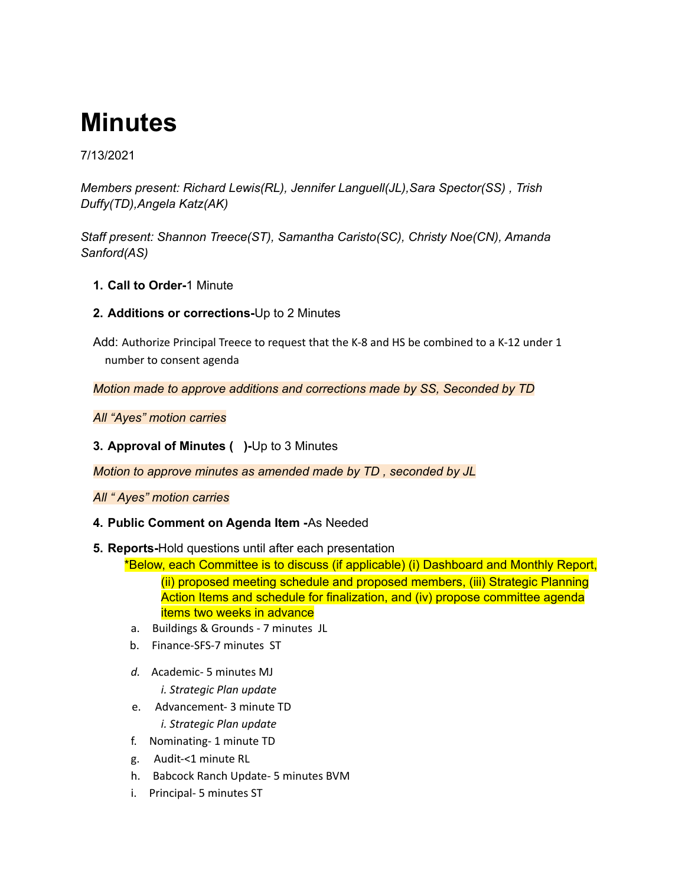# **Minutes**

## 7/13/2021

*Members present: Richard Lewis(RL), Jennifer Languell(JL),Sara Spector(SS) , Trish Duffy(TD),Angela Katz(AK)*

*Staff present: Shannon Treece(ST), Samantha Caristo(SC), Christy Noe(CN), Amanda Sanford(AS)*

- **1. Call to Order-**1 Minute
- **2. Additions or corrections-**Up to 2 Minutes

Add: Authorize Principal Treece to request that the K-8 and HS be combined to a K-12 under 1 number to consent agenda

*Motion made to approve additions and corrections made by SS, Seconded by TD*

*All "Ayes" motion carries*

**3. Approval of Minutes ( )-**Up to 3 Minutes

*Motion to approve minutes as amended made by TD , seconded by JL*

*All " Ayes" motion carries*

### **4. Public Comment on Agenda Item -**As Needed

### **5. Reports-**Hold questions until after each presentation

\*Below, each Committee is to discuss (if applicable) (i) Dashboard and Monthly Report, (ii) proposed meeting schedule and proposed members, (iii) Strategic Planning Action Items and schedule for finalization, and (iv) propose committee agenda items two weeks in advance

- a. Buildings & Grounds 7 minutes JL
- b. Finance-SFS-7 minutes ST
- *d.* Academic- 5 minutes MJ *i. Strategic Plan update*
- e. Advancement- 3 minute TD *i. Strategic Plan update*
- f. Nominating- 1 minute TD
- g. Audit-<1 minute RL
- h. Babcock Ranch Update- 5 minutes BVM
- i. Principal- 5 minutes ST